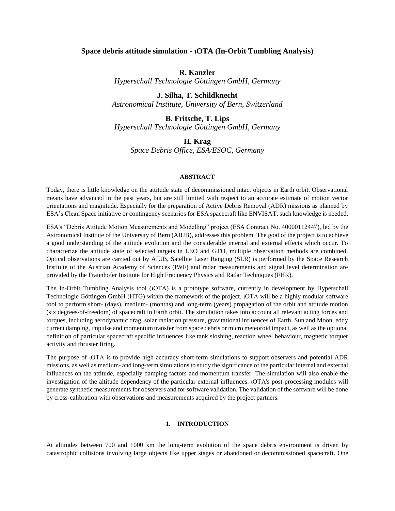### **Space debris attitude simulation - ιOTA (In-Orbit Tumbling Analysis)**

## **R. Kanzler**

*Hyperschall Technologie Göttingen GmbH, Germany*

**J. Silha, T. Schildknecht** *Astronomical Institute, University of Bern, Switzerland*

**B. Fritsche, T. Lips** *Hyperschall Technologie Göttingen GmbH, Germany*

**H. Krag**

*Space Debris Office, ESA/ESOC, Germany*

#### **ABSTRACT**

Today, there is little knowledge on the attitude state of decommissioned intact objects in Earth orbit. Observational means have advanced in the past years, but are still limited with respect to an accurate estimate of motion vector orientations and magnitude. Especially for the preparation of Active Debris Removal (ADR) missions as planned by ESA's Clean Space initiative or contingency scenarios for ESA spacecraft like ENVISAT, such knowledge is needed.

ESA's "Debris Attitude Motion Measurements and Modelling" project (ESA Contract No. 40000112447), led by the Astronomical Institute of the University of Bern (AIUB), addresses this problem. The goal of the project is to achieve a good understanding of the attitude evolution and the considerable internal and external effects which occur. To characterize the attitude state of selected targets in LEO and GTO, multiple observation methods are combined. Optical observations are carried out by AIUB, Satellite Laser Ranging (SLR) is performed by the Space Research Institute of the Austrian Academy of Sciences (IWF) and radar measurements and signal level determination are provided by the Fraunhofer Institute for High Frequency Physics and Radar Techniques (FHR).

The In-Orbit Tumbling Analysis tool (ιOTA) is a prototype software, currently in development by Hyperschall Technologie Göttingen GmbH (HTG) within the framework of the project. ιOTA will be a highly modular software tool to perform short- (days), medium- (months) and long-term (years) propagation of the orbit and attitude motion (six degrees-of-freedom) of spacecraft in Earth orbit. The simulation takes into account all relevant acting forces and torques, including aerodynamic drag, solar radiation pressure, gravitational influences of Earth, Sun and Moon, eddy current damping, impulse and momentum transfer from space debris or micro meteoroid impact, as well as the optional definition of particular spacecraft specific influences like tank sloshing, reaction wheel behaviour, magnetic torquer activity and thruster firing.

The purpose of  $10TA$  is to provide high accuracy short-term simulations to support observers and potential ADR missions, as well as medium- and long-term simulations to study the significance of the particular internal and external influences on the attitude, especially damping factors and momentum transfer. The simulation will also enable the investigation of the altitude dependency of the particular external influences. ιOTA's post-processing modules will generate synthetic measurements for observers and for software validation. The validation of the software will be done by cross-calibration with observations and measurements acquired by the project partners.

#### **1. INTRODUCTION**

At altitudes between 700 and 1000 km the long-term evolution of the space debris environment is driven by catastrophic collisions involving large objects like upper stages or abandoned or decommissioned spacecraft. One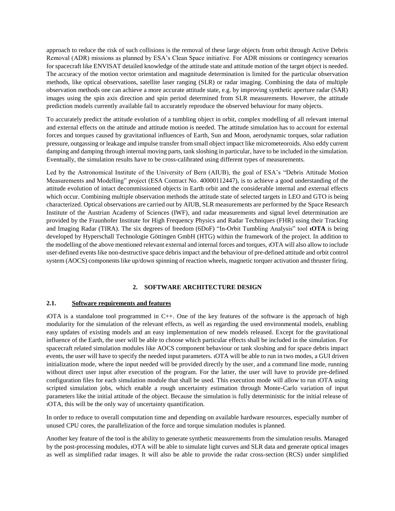approach to reduce the risk of such collisions is the removal of these large objects from orbit through Active Debris Removal (ADR) missions as planned by ESA's Clean Space initiative. For ADR missions or contingency scenarios for spacecraft like ENVISAT detailed knowledge of the attitude state and attitude motion of the target object is needed. The accuracy of the motion vector orientation and magnitude determination is limited for the particular observation methods, like optical observations, satellite laser ranging (SLR) or radar imaging. Combining the data of multiple observation methods one can achieve a more accurate attitude state, e.g. by improving synthetic aperture radar (SAR) images using the spin axis direction and spin period determined from SLR measurements. However, the attitude prediction models currently available fail to accurately reproduce the observed behaviour for many objects.

To accurately predict the attitude evolution of a tumbling object in orbit, complex modelling of all relevant internal and external effects on the attitude and attitude motion is needed. The attitude simulation has to account for external forces and torques caused by gravitational influences of Earth, Sun and Moon, aerodynamic torques, solar radiation pressure, outgassing or leakage and impulse transfer from small object impact like micrometeoroids. Also eddy current damping and damping through internal moving parts, tank sloshing in particular, have to be included in the simulation. Eventually, the simulation results have to be cross-calibrated using different types of measurements.

Led by the Astronomical Institute of the University of Bern (AIUB), the goal of ESA's "Debris Attitude Motion Measurements and Modelling" project (ESA Contract No. 40000112447), is to achieve a good understanding of the attitude evolution of intact decommissioned objects in Earth orbit and the considerable internal and external effects which occur. Combining multiple observation methods the attitude state of selected targets in LEO and GTO is being characterized. Optical observations are carried out by AIUB, SLR measurements are performed by the Space Research Institute of the Austrian Academy of Sciences (IWF), and radar measurements and signal level determination are provided by the Fraunhofer Institute for High Frequency Physics and Radar Techniques (FHR) using their Tracking and Imaging Radar (TIRA). The six degrees of freedom (6DoF) "In-Orbit Tumbling Analysis" tool **ιOTA** is being developed by Hyperschall Technologie Göttingen GmbH (HTG) within the framework of the project. In addition to the modelling of the above mentioned relevant external and internal forces and torques, ιOTA will also allow to include user-defined events like non-destructive space debris impact and the behaviour of pre-defined attitude and orbit control system (AOCS) components like up/down spinning of reaction wheels, magnetic torquer activation and thruster firing.

### **2. SOFTWARE ARCHITECTURE DESIGN**

### **2.1. Software requirements and features**

ιOTA is a standalone tool programmed in C++. One of the key features of the software is the approach of high modularity for the simulation of the relevant effects, as well as regarding the used environmental models, enabling easy updates of existing models and an easy implementation of new models released. Except for the gravitational influence of the Earth, the user will be able to choose which particular effects shall be included in the simulation. For spacecraft related simulation modules like AOCS component behaviour or tank sloshing and for space debris impact events, the user will have to specify the needed input parameters. ιOTA will be able to run in two modes, a GUI driven initialization mode, where the input needed will be provided directly by the user, and a command line mode, running without direct user input after execution of the program. For the latter, the user will have to provide pre-defined configuration files for each simulation module that shall be used. This execution mode will allow to run ιOTA using scripted simulation jobs, which enable a rough uncertainty estimation through Monte-Carlo variation of input parameters like the initial attitude of the object. Because the simulation is fully deterministic for the initial release of ιOTA, this will be the only way of uncertainty quantification.

In order to reduce to overall computation time and depending on available hardware resources, especially number of unused CPU cores, the parallelization of the force and torque simulation modules is planned.

Another key feature of the tool is the ability to generate synthetic measurements from the simulation results. Managed by the post-processing modules, ιOTA will be able to simulate light curves and SLR data and generate optical images as well as simplified radar images. It will also be able to provide the radar cross-section (RCS) under simplified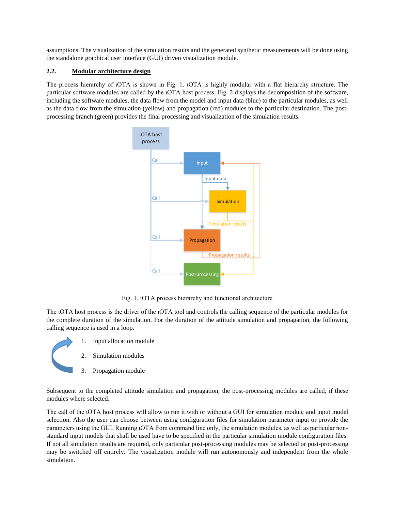assumptions. The visualization of the simulation results and the generated synthetic measurements will be done using the standalone graphical user interface (GUI) driven visualization module.

# **2.2. Modular architecture design**

The process hierarchy of tOTA is shown in Fig. 1. tOTA is highly modular with a flat hierarchy structure. The particular software modules are called by the ιOTA host process. Fig. 2 displays the decomposition of the software, including the software modules, the data flow from the model and input data (blue) to the particular modules, as well as the data flow from the simulation (yellow) and propagation (red) modules to the particular destination. The postprocessing branch (green) provides the final processing and visualization of the simulation results.



Fig. 1. ιOTA process hierarchy and functional architecture

The ιOTA host process is the driver of the ιOTA tool and controls the calling sequence of the particular modules for the complete duration of the simulation. For the duration of the attitude simulation and propagation, the following calling sequence is used in a loop.

- 1. Input allocation module
- 2. Simulation modules
- 3. Propagation module

Subsequent to the completed attitude simulation and propagation, the post-processing modules are called, if these modules where selected.

The call of the ιOTA host process will allow to run it with or without a GUI for simulation module and input model selection. Also the user can choose between using configuration files for simulation parameter input or provide the parameters using the GUI. Running ιOTA from command line only, the simulation modules, as well as particular nonstandard input models that shall be used have to be specified in the particular simulation module configuration files. If not all simulation results are required, only particular post-processing modules may be selected or post-processing may be switched off entirely. The visualization module will run autonomously and independent from the whole simulation.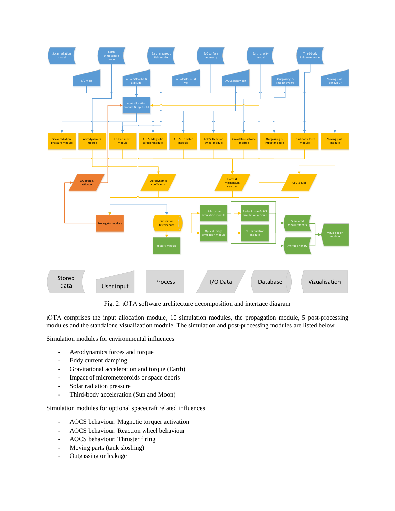

Fig. 2. ιOTA software architecture decomposition and interface diagram

ιOTA comprises the input allocation module, 10 simulation modules, the propagation module, 5 post-processing modules and the standalone visualization module. The simulation and post-processing modules are listed below.

Simulation modules for environmental influences

- Aerodynamics forces and torque
- Eddy current damping
- Gravitational acceleration and torque (Earth)
- Impact of micrometeoroids or space debris
- Solar radiation pressure
- Third-body acceleration (Sun and Moon)

Simulation modules for optional spacecraft related influences

- AOCS behaviour: Magnetic torquer activation
- AOCS behaviour: Reaction wheel behaviour
- AOCS behaviour: Thruster firing
- Moving parts (tank sloshing)
- Outgassing or leakage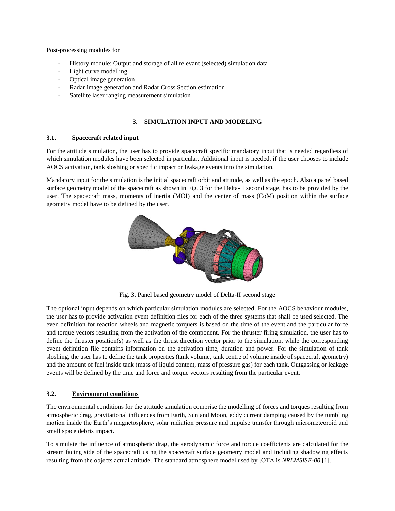Post-processing modules for

- History module: Output and storage of all relevant (selected) simulation data
- Light curve modelling
- Optical image generation
- Radar image generation and Radar Cross Section estimation
- Satellite laser ranging measurement simulation

## **3. SIMULATION INPUT AND MODELING**

### **3.1. Spacecraft related input**

For the attitude simulation, the user has to provide spacecraft specific mandatory input that is needed regardless of which simulation modules have been selected in particular. Additional input is needed, if the user chooses to include AOCS activation, tank sloshing or specific impact or leakage events into the simulation.

Mandatory input for the simulation is the initial spacecraft orbit and attitude, as well as the epoch. Also a panel based surface geometry model of the spacecraft as shown in Fig. 3 for the Delta-II second stage, has to be provided by the user. The spacecraft mass, moments of inertia (MOI) and the center of mass (CoM) position within the surface geometry model have to be defined by the user.



Fig. 3. Panel based geometry model of Delta-II second stage

The optional input depends on which particular simulation modules are selected. For the AOCS behaviour modules, the user has to provide activation event definition files for each of the three systems that shall be used selected. The even definition for reaction wheels and magnetic torquers is based on the time of the event and the particular force and torque vectors resulting from the activation of the component. For the thruster firing simulation, the user has to define the thruster position(s) as well as the thrust direction vector prior to the simulation, while the corresponding event definition file contains information on the activation time, duration and power. For the simulation of tank sloshing, the user has to define the tank properties (tank volume, tank centre of volume inside of spacecraft geometry) and the amount of fuel inside tank (mass of liquid content, mass of pressure gas) for each tank. Outgassing or leakage events will be defined by the time and force and torque vectors resulting from the particular event.

# **3.2. Environment conditions**

The environmental conditions for the attitude simulation comprise the modelling of forces and torques resulting from atmospheric drag, gravitational influences from Earth, Sun and Moon, eddy current damping caused by the tumbling motion inside the Earth's magnetosphere, solar radiation pressure and impulse transfer through micrometeoroid and small space debris impact.

To simulate the influence of atmospheric drag, the aerodynamic force and torque coefficients are calculated for the stream facing side of the spacecraft using the spacecraft surface geometry model and including shadowing effects resulting from the objects actual attitude. The standard atmosphere model used by ιOTA is *NRLMSISE-00* [1].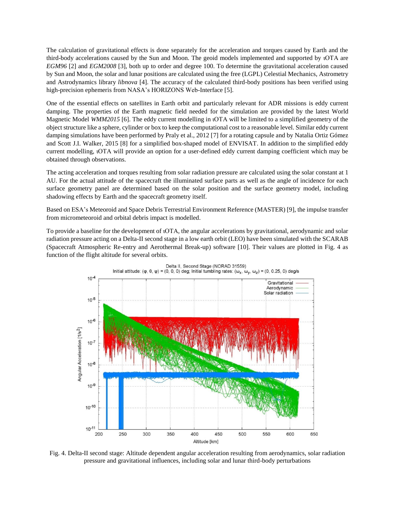The calculation of gravitational effects is done separately for the acceleration and torques caused by Earth and the third-body accelerations caused by the Sun and Moon. The geoid models implemented and supported by ιOTA are *EGM96* [2] and *EGM2008* [3], both up to order and degree 100. To determine the gravitational acceleration caused by Sun and Moon, the solar and lunar positions are calculated using the free (LGPL) Celestial Mechanics, Astrometry and Astrodynamics library *libnova* [4]. The accuracy of the calculated third-body positions has been verified using high-precision ephemeris from NASA's HORIZONS Web-Interface [5].

One of the essential effects on satellites in Earth orbit and particularly relevant for ADR missions is eddy current damping. The properties of the Earth magnetic field needed for the simulation are provided by the latest World Magnetic Model *WMM2015* [6]. The eddy current modelling in tOTA will be limited to a simplified geometry of the object structure like a sphere, cylinder or box to keep the computational cost to a reasonable level. Similar eddy current damping simulations have been performed by Praly et al., 2012 [7] for a rotating capsule and by Natalia Ortiz Gómez and Scott J.I. Walker, 2015 [8] for a simplified box-shaped model of ENVISAT. In addition to the simplified eddy current modelling, ιOTA will provide an option for a user-defined eddy current damping coefficient which may be obtained through observations.

The acting acceleration and torques resulting from solar radiation pressure are calculated using the solar constant at 1 AU. For the actual attitude of the spacecraft the illuminated surface parts as well as the angle of incidence for each surface geometry panel are determined based on the solar position and the surface geometry model, including shadowing effects by Earth and the spacecraft geometry itself.

Based on ESA's Meteoroid and Space Debris Terrestrial Environment Reference (MASTER) [9], the impulse transfer from micrometeoroid and orbital debris impact is modelled.

To provide a baseline for the development of ιOTA, the angular accelerations by gravitational, aerodynamic and solar radiation pressure acting on a Delta-II second stage in a low earth orbit (LEO) have been simulated with the SCARAB (Spacecraft Atmospheric Re-entry and Aerothermal Break-up) software [10]. Their values are plotted in Fig. 4 as function of the flight altitude for several orbits.



Fig. 4. Delta-II second stage: Altitude dependent angular acceleration resulting from aerodynamics, solar radiation pressure and gravitational influences, including solar and lunar third-body perturbations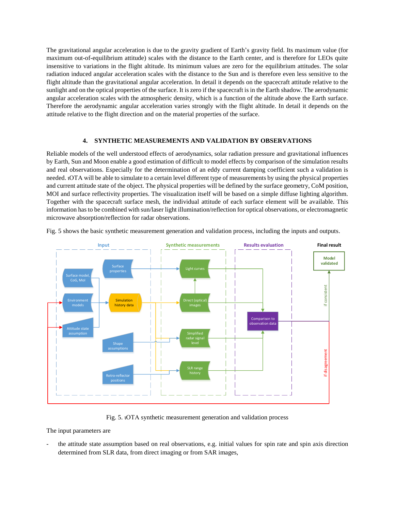The gravitational angular acceleration is due to the gravity gradient of Earth's gravity field. Its maximum value (for maximum out-of-equilibrium attitude) scales with the distance to the Earth center, and is therefore for LEOs quite insensitive to variations in the flight altitude. Its minimum values are zero for the equilibrium attitudes. The solar radiation induced angular acceleration scales with the distance to the Sun and is therefore even less sensitive to the flight altitude than the gravitational angular acceleration. In detail it depends on the spacecraft attitude relative to the sunlight and on the optical properties of the surface. It is zero if the spacecraft is in the Earth shadow. The aerodynamic angular acceleration scales with the atmospheric density, which is a function of the altitude above the Earth surface. Therefore the aerodynamic angular acceleration varies strongly with the flight altitude. In detail it depends on the attitude relative to the flight direction and on the material properties of the surface.

### **4. SYNTHETIC MEASUREMENTS AND VALIDATION BY OBSERVATIONS**

Reliable models of the well understood effects of aerodynamics, solar radiation pressure and gravitational influences by Earth, Sun and Moon enable a good estimation of difficult to model effects by comparison of the simulation results and real observations. Especially for the determination of an eddy current damping coefficient such a validation is needed. ιOTA will be able to simulate to a certain level different type of measurements by using the physical properties and current attitude state of the object. The physical properties will be defined by the surface geometry, CoM position, MOI and surface reflectivity properties. The visualization itself will be based on a simple diffuse lighting algorithm. Together with the spacecraft surface mesh, the individual attitude of each surface element will be available. This information has to be combined with sun/laser light illumination/reflection for optical observations, or electromagnetic microwave absorption/reflection for radar observations.



Fig. 5 shows the basic synthetic measurement generation and validation process, including the inputs and outputs.

Fig. 5. ιOTA synthetic measurement generation and validation process

The input parameters are

the attitude state assumption based on real observations, e.g. initial values for spin rate and spin axis direction determined from SLR data, from direct imaging or from SAR images,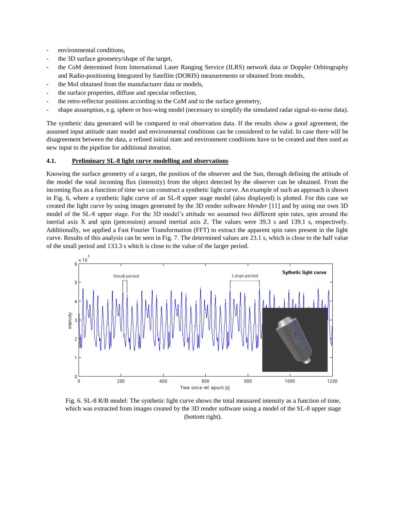- environmental conditions,
- the 3D surface geometry/shape of the target,
- the CoM determined from International Laser Ranging Service (ILRS) network data or Doppler Orbitography and Radio-positioning Integrated by Satellite (DORIS) measurements or obtained from models,
- the MoI obtained from the manufacturer data or models,
- the surface properties, diffuse and specular reflection,
- the retro-reflector positions according to the CoM and to the surface geometry,
- shape assumption, e.g. sphere or box-wing model (necessary to simplify the simulated radar signal-to-noise data).

The synthetic data generated will be compared to real observation data. If the results show a good agreement, the assumed input attitude state model and environmental conditions can be considered to be valid. In case there will be disagreement between the data, a refined initial state and environment conditions have to be created and then used as new input to the pipeline for additional iteration.

#### **4.1. Preliminary SL-8 light curve modelling and observations**

Knowing the surface geometry of a target, the position of the observer and the Sun, through defining the attitude of the model the total incoming flux (intensity) from the object detected by the observer can be obtained. From the incoming flux as a function of time we can construct a synthetic light curve. An example of such an approach is shown in Fig. 6, where a synthetic light curve of an SL-8 upper stage model (also displayed) is plotted. For this case we created the light curve by using images generated by the 3D render software *blender* [11] and by using our own 3D model of the SL-8 upper stage. For the 3D model's attitude we assumed two different spin rates, spin around the inertial axis X and spin (precession) around inertial axis Z. The values were 39.3 s and 139.1 s, respectively. Additionally, we applied a Fast Fourier Transformation (FFT) to extract the apparent spin rates present in the light curve. Results of this analysis can be seen in Fig. 7. The determined values are 23.1 s, which is close to the half value of the small period and 133.3 s which is close to the value of the larger period.



Fig. 6. SL-8 R/B model: The synthetic light curve shows the total measured intensity as a function of time, which was extracted from images created by the 3D render software using a model of the SL-8 upper stage (bottom right).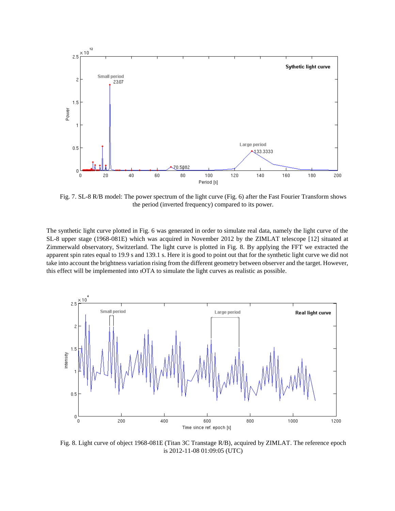

Fig. 7. SL-8 R/B model: The power spectrum of the light curve (Fig. 6) after the Fast Fourier Transform shows the period (inverted frequency) compared to its power.

The synthetic light curve plotted in Fig. 6 was generated in order to simulate real data, namely the light curve of the SL-8 upper stage (1968-081E) which was acquired in November 2012 by the ZIMLAT telescope [12] situated at Zimmerwald observatory, Switzerland. The light curve is plotted in Fig. 8. By applying the FFT we extracted the apparent spin rates equal to 19.9 s and 139.1 s. Here it is good to point out that for the synthetic light curve we did not take into account the brightness variation rising from the different geometry between observer and the target. However, this effect will be implemented into ιOTA to simulate the light curves as realistic as possible.



Fig. 8. Light curve of object 1968-081E (Titan 3C Transtage R/B), acquired by ZIMLAT. The reference epoch is 2012-11-08 01:09:05 (UTC)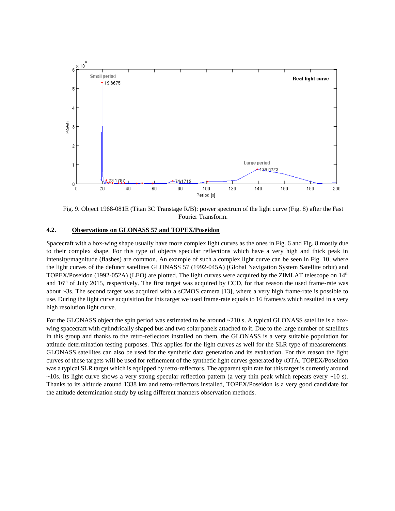

Fig. 9. Object 1968-081E (Titan 3C Transtage R/B): power spectrum of the light curve (Fig. 8) after the Fast Fourier Transform.

#### **4.2. Observations on GLONASS 57 and TOPEX/Poseidon**

Spacecraft with a box-wing shape usually have more complex light curves as the ones in Fig. 6 and Fig. 8 mostly due to their complex shape. For this type of objects specular reflections which have a very high and thick peak in intensity/magnitude (flashes) are common. An example of such a complex light curve can be seen in Fig. 10, where the light curves of the defunct satellites GLONASS 57 (1992-045A) (Global Navigation System Satellite orbit) and TOPEX/Poseidon (1992-052A) (LEO) are plotted. The light curves were acquired by the ZIMLAT telescope on 14th and  $16<sup>th</sup>$  of July 2015, respectively. The first target was acquired by CCD, for that reason the used frame-rate was about ~3s. The second target was acquired with a sCMOS camera [13], where a very high frame-rate is possible to use. During the light curve acquisition for this target we used frame-rate equals to 16 frames/s which resulted in a very high resolution light curve.

For the GLONASS object the spin period was estimated to be around ~210 s. A typical GLONASS satellite is a boxwing spacecraft with cylindrically shaped bus and two solar panels attached to it. Due to the large number of satellites in this group and thanks to the retro-reflectors installed on them, the GLONASS is a very suitable population for attitude determination testing purposes. This applies for the light curves as well for the SLR type of measurements. GLONASS satellites can also be used for the synthetic data generation and its evaluation. For this reason the light curves of these targets will be used for refinement of the synthetic light curves generated by ιOTA. TOPEX/Poseidon was a typical SLR target which is equipped by retro-reflectors. The apparent spin rate for this target is currently around  $\sim$ 10s. Its light curve shows a very strong specular reflection pattern (a very thin peak which repeats every  $\sim$ 10 s). Thanks to its altitude around 1338 km and retro-reflectors installed, TOPEX/Poseidon is a very good candidate for the attitude determination study by using different manners observation methods.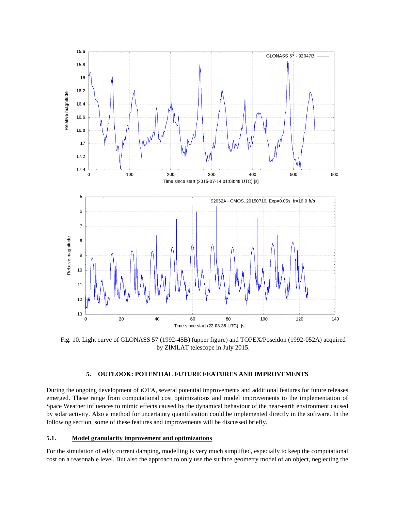

Fig. 10. Light curve of GLONASS 57 (1992-45B) (upper figure) and TOPEX/Poseidon (1992-052A) acquired by ZIMLAT telescope in July 2015.

#### **5. OUTLOOK: POTENTIAL FUTURE FEATURES AND IMPROVEMENTS**

During the ongoing development of ιOTA, several potential improvements and additional features for future releases emerged. These range from computational cost optimizations and model improvements to the implementation of Space Weather influences to mimic effects caused by the dynamical behaviour of the near-earth environment caused by solar activity. Also a method for uncertainty quantification could be implemented directly in the software. In the following section, some of these features and improvements will be discussed briefly.

## **5.1. Model granularity improvement and optimizations**

For the simulation of eddy current damping, modelling is very much simplified, especially to keep the computational cost on a reasonable level. But also the approach to only use the surface geometry model of an object, neglecting the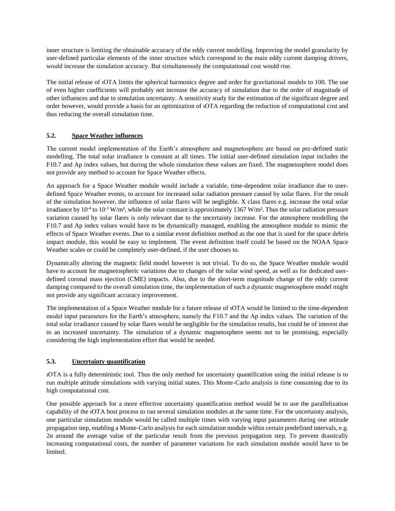inner structure is limiting the obtainable accuracy of the eddy current modelling. Improving the model granularity by user-defined particular elements of the inner structure which correspond to the main eddy current damping drivers, would increase the simulation accuracy. But simultaneously the computational cost would rise.

The initial release of ιOTA limits the spherical harmonics degree and order for gravitational models to 100. The use of even higher coefficients will probably not increase the accuracy of simulation due to the order of magnitude of other influences and due to simulation uncertainty. A sensitivity study for the estimation of the significant degree and order however, would provide a basis for an optimization of ιOTA regarding the reduction of computational cost and thus reducing the overall simulation time.

## **5.2. Space Weather influences**

The current model implementation of the Earth's atmosphere and magnetosphere are based on pre-defined static modelling. The total solar irradiance is constant at all times. The initial user-defined simulation input includes the F10.7 and Ap index values, but during the whole simulation these values are fixed. The magnetosphere model does not provide any method to account for Space Weather effects.

An approach for a Space Weather module would include a variable, time-dependent solar irradiance due to userdefined Space Weather events, to account for increased solar radiation pressure caused by solar flares. For the result of the simulation however, the influence of solar flares will be negligible. X class flares e.g. increase the total solar irradiance by  $10^{-4}$  to  $10^{-3}$  W/m<sup>2</sup>, while the solar constant is approximately 1367 W/m<sup>2</sup>. Thus the solar radiation pressure variation caused by solar flares is only relevant due to the uncertainty increase. For the atmosphere modelling the F10.7 and Ap index values would have to be dynamically managed, enabling the atmosphere module to mimic the effects of Space Weather events. Due to a similar event definition method as the one that is used for the space debris impact module, this would be easy to implement. The event definition itself could be based on the NOAA Space Weather scales or could be completely user-defined, if the user chooses to.

Dynamically altering the magnetic field model however is not trivial. To do so, the Space Weather module would have to account for magnetospheric variations due to changes of the solar wind speed, as well as for dedicated userdefined coronal mass ejection (CME) impacts. Also, due to the short-term magnitude change of the eddy current damping compared to the overall simulation time, the implementation of such a dynamic magnetosphere model might not provide any significant accuracy improvement.

The implementation of a Space Weather module for a future release of ιOTA would be limited to the time-dependent model input parameters for the Earth's atmosphere, namely the F10.7 and the Ap index values. The variation of the total solar irradiance caused by solar flares would be negligible for the simulation results, but could be of interest due to an increased uncertainty. The simulation of a dynamic magnetosphere seems not to be promising, especially considering the high implementation effort that would be needed.

# **5.3. Uncertainty quantification**

ιOTA is a fully deterministic tool. Thus the only method for uncertainty quantification using the initial release is to run multiple attitude simulations with varying initial states. This Monte-Carlo analysis is time consuming due to its high computational cost.

One possible approach for a more effective uncertainty quantification method would be to use the parallelization capability of the ιOTA host process to run several simulation modules at the same time. For the uncertainty analysis, one particular simulation module would be called multiple times with varying input parameters during one attitude propagation step, enabling a Monte-Carlo analysis for each simulation module within certain predefined intervals, e.g. 2ϭ around the average value of the particular result from the previous propagation step. To prevent drastically increasing computational costs, the number of parameter variations for each simulation module would have to be limited.